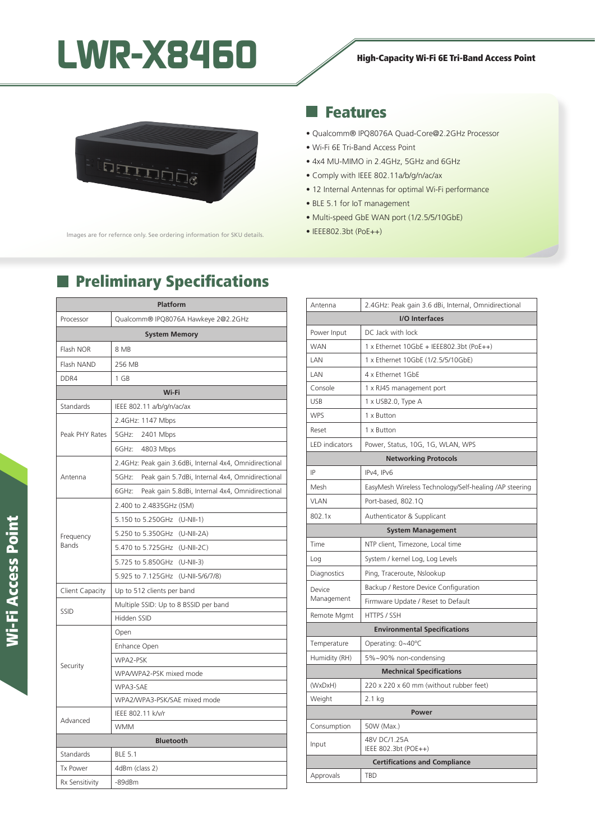# LWR-X8460 High-Capacity Wi-Fi 6E Tri-Band Access Point



lmages are for refernce only. See ordering information for SKU details.

# Features

×.

- Qualcomm® IPQ8076A Quad-Core@2.2GHz Processor
- Wi-Fi 6E Tri-Band Access Point
- 4x4 MU-MIMO in 2.4GHz, 5GHz and 6GHz
- Comply with IEEE 802.11a/b/g/n/ac/ax
- 12 Internal Antennas for optimal Wi-Fi performance
- BLE 5.1 for IoT management
- Multi-speed GbE WAN port (1/2.5/5/10GbE)
- IEEE802.3bt (PoE++)

## **Preliminary Specifications**

| Platform             |                                                          |  |
|----------------------|----------------------------------------------------------|--|
| Processor            | Qualcomm® IPQ8076A Hawkeye 2@2.2GHz                      |  |
| <b>System Memory</b> |                                                          |  |
| Flash NOR            | 8 MB                                                     |  |
| Flash NAND           | 256 MB                                                   |  |
| DDR4                 | 1 GB                                                     |  |
| Wi-Fi                |                                                          |  |
| Standards            | IEEE 802.11 a/b/g/n/ac/ax                                |  |
| Peak PHY Rates       | 2.4GHz: 1147 Mbps                                        |  |
|                      | 5GHz:<br>2401 Mbps                                       |  |
|                      | 6GHz:<br>4803 Mbps                                       |  |
| Antenna              | 2.4GHz: Peak gain 3.6dBi, Internal 4x4, Omnidirectional  |  |
|                      | 5GHz:<br>Peak gain 5.7dBi, Internal 4x4, Omnidirectional |  |
|                      | Peak gain 5.8dBi, Internal 4x4, Omnidirectional<br>6GHz: |  |
|                      | 2.400 to 2.4835GHz (ISM)                                 |  |
| Frequency<br>Bands   | 5.150 to 5.250GHz (U-NII-1)                              |  |
|                      | 5.250 to 5.350GHz (U-NII-2A)                             |  |
|                      | 5.470 to 5.725GHz (U-NII-2C)                             |  |
|                      | 5.725 to 5.850GHz (U-NII-3)                              |  |
|                      | 5.925 to 7.125GHz (U-NII-5/6/7/8)                        |  |
| Client Capacity      | Up to 512 clients per band                               |  |
| <b>SSID</b>          | Multiple SSID: Up to 8 BSSID per band                    |  |
|                      | Hidden SSID                                              |  |
| Security             | Open                                                     |  |
|                      | Enhance Open                                             |  |
|                      | WPA2-PSK                                                 |  |
|                      | WPA/WPA2-PSK mixed mode                                  |  |
|                      | WPA3-SAE                                                 |  |
|                      | WPA2/WPA3-PSK/SAE mixed mode                             |  |
| Advanced             | IEEE 802.11 k/v/r                                        |  |
|                      | <b>WMM</b>                                               |  |
| <b>Bluetooth</b>     |                                                          |  |
| Standards            | <b>BLE 5.1</b>                                           |  |
| <b>Tx Power</b>      | 4dBm (class 2)                                           |  |
| Rx Sensitivity       | $-89dBr$                                                 |  |

| Antenna                              | 2.4GHz: Peak gain 3.6 dBi, Internal, Omnidirectional   |  |
|--------------------------------------|--------------------------------------------------------|--|
| I/O Interfaces                       |                                                        |  |
| Power Input                          | DC Jack with lock                                      |  |
| <b>WAN</b>                           | 1 x Ethernet $10GbE + IEEE802.3bt (PoE++)$             |  |
| LAN                                  | 1 x Ethernet 10GbE (1/2.5/5/10GbE)                     |  |
| LAN                                  | 4 x Ethernet 1GbE                                      |  |
| Console                              | 1 x RJ45 management port                               |  |
| <b>USB</b>                           | 1 x USB2.0, Type A                                     |  |
| <b>WPS</b>                           | 1 x Button                                             |  |
| Reset                                | 1 x Button                                             |  |
| <b>LED</b> indicators                | Power, Status, 10G, 1G, WLAN, WPS                      |  |
| <b>Networking Protocols</b>          |                                                        |  |
| IP                                   | IPv4, IPv6                                             |  |
| Mesh                                 | EasyMesh Wireless Technology/Self-healing /AP steering |  |
| <b>VLAN</b>                          | Port-based, 802.1Q                                     |  |
| 802.1x                               | Authenticator & Supplicant                             |  |
| <b>System Management</b>             |                                                        |  |
| Time                                 | NTP client, Timezone, Local time                       |  |
| Log                                  | System / kernel Log, Log Levels                        |  |
| Diagnostics                          | Ping, Traceroute, Nslookup                             |  |
| Device<br>Management                 | Backup / Restore Device Configuration                  |  |
|                                      | Firmware Update / Reset to Default                     |  |
| Remote Mgmt                          | HTTPS / SSH                                            |  |
| <b>Environmental Specifications</b>  |                                                        |  |
| Temperature                          | Operating: 0~40°C                                      |  |
| Humidity (RH)                        | 5%~90% non-condensing                                  |  |
| <b>Mechnical Specifications</b>      |                                                        |  |
| (WxDxH)                              | 220 x 220 x 60 mm (without rubber feet)                |  |
| Weight                               | 2.1 kg                                                 |  |
| Power                                |                                                        |  |
| Consumption                          | 50W (Max.)                                             |  |
| Input                                | 48V DC/1.25A<br>IEEE 802.3bt (POE++)                   |  |
| <b>Certifications and Compliance</b> |                                                        |  |
| Approvals                            | TBD                                                    |  |